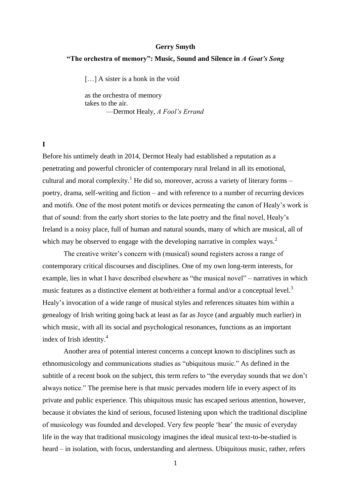#### **Gerry Smyth**

## **"The orchestra of memory": Music, Sound and Silence in** *A Goat's Song*

[...] A sister is a honk in the void

as the orchestra of memory takes to the air. —Dermot Healy, *A Fool's Errand*

**I**

Before his untimely death in 2014, Dermot Healy had established a reputation as a penetrating and powerful chronicler of contemporary rural Ireland in all its emotional, cultural and moral complexity.<sup>1</sup> He did so, moreover, across a variety of literary forms – poetry, drama, self-writing and fiction – and with reference to a number of recurring devices and motifs. One of the most potent motifs or devices permeating the canon of Healy's work is that of sound: from the early short stories to the late poetry and the final novel, Healy's Ireland is a noisy place, full of human and natural sounds, many of which are musical, all of which may be observed to engage with the developing narrative in complex ways.<sup>2</sup>

The creative writer's concern with (musical) sound registers across a range of contemporary critical discourses and disciplines. One of my own long-term interests, for example, lies in what I have described elsewhere as "the musical novel" – narratives in which music features as a distinctive element at both/either a formal and/or a conceptual level.<sup>3</sup> Healy's invocation of a wide range of musical styles and references situates him within a genealogy of Irish writing going back at least as far as Joyce (and arguably much earlier) in which music, with all its social and psychological resonances, functions as an important index of Irish identity.<sup>4</sup>

Another area of potential interest concerns a concept known to disciplines such as ethnomusicology and communications studies as "ubiquitous music." As defined in the subtitle of a recent book on the subject, this term refers to "the everyday sounds that we don't always notice." The premise here is that music pervades modern life in every aspect of its private and public experience. This ubiquitous music has escaped serious attention, however, because it obviates the kind of serious, focused listening upon which the traditional discipline of musicology was founded and developed. Very few people 'hear' the music of everyday life in the way that traditional musicology imagines the ideal musical text-to-be-studied is heard – in isolation, with focus, understanding and alertness. Ubiquitous music, rather, refers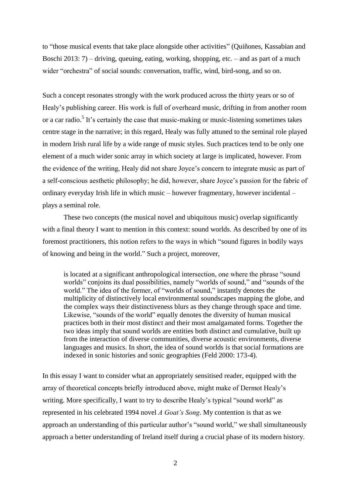to "those musical events that take place alongside other activities" (Quiñones, Kassabian and Boschi 2013: 7) – driving, queuing, eating, working, shopping, etc. – and as part of a much wider "orchestra" of social sounds: conversation, traffic, wind, bird-song, and so on.

Such a concept resonates strongly with the work produced across the thirty years or so of Healy's publishing career. His work is full of overheard music, drifting in from another room or a car radio.<sup>5</sup> It's certainly the case that music-making or music-listening sometimes takes centre stage in the narrative; in this regard, Healy was fully attuned to the seminal role played in modern Irish rural life by a wide range of music styles. Such practices tend to be only one element of a much wider sonic array in which society at large is implicated, however. From the evidence of the writing, Healy did not share Joyce's concern to integrate music as part of a self-conscious aesthetic philosophy; he did, however, share Joyce's passion for the fabric of ordinary everyday Irish life in which music – however fragmentary, however incidental – plays a seminal role.

These two concepts (the musical novel and ubiquitous music) overlap significantly with a final theory I want to mention in this context: sound worlds. As described by one of its foremost practitioners, this notion refers to the ways in which "sound figures in bodily ways of knowing and being in the world." Such a project, moreover,

is located at a significant anthropological intersection, one where the phrase "sound worlds" conjoins its dual possibilities, namely "worlds of sound," and "sounds of the world." The idea of the former, of "worlds of sound," instantly denotes the multiplicity of distinctively local environmental soundscapes mapping the globe, and the complex ways their distinctiveness blurs as they change through space and time. Likewise, "sounds of the world" equally denotes the diversity of human musical practices both in their most distinct and their most amalgamated forms. Together the two ideas imply that sound worlds are entities both distinct and cumulative, built up from the interaction of diverse communities, diverse acoustic environments, diverse languages and musics. In short, the idea of sound worlds is that social formations are indexed in sonic histories and sonic geographies (Feld 2000: 173-4).

In this essay I want to consider what an appropriately sensitised reader, equipped with the array of theoretical concepts briefly introduced above, might make of Dermot Healy's writing. More specifically, I want to try to describe Healy's typical "sound world" as represented in his celebrated 1994 novel *A Goat's Song*. My contention is that as we approach an understanding of this particular author's "sound world," we shall simultaneously approach a better understanding of Ireland itself during a crucial phase of its modern history.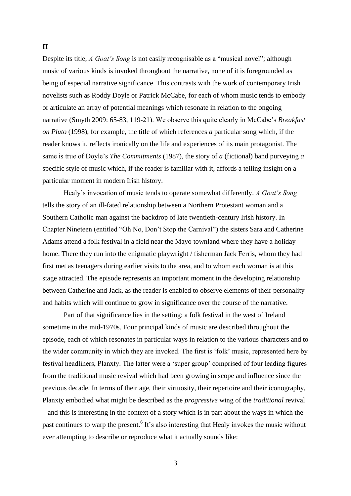## **II**

Despite its title, *A Goat's Song* is not easily recognisable as a "musical novel"; although music of various kinds is invoked throughout the narrative, none of it is foregrounded as being of especial narrative significance. This contrasts with the work of contemporary Irish novelists such as Roddy Doyle or Patrick McCabe, for each of whom music tends to embody or articulate an array of potential meanings which resonate in relation to the ongoing narrative (Smyth 2009: 65-83, 119-21). We observe this quite clearly in McCabe's *Breakfast on Pluto* (1998), for example, the title of which references *a* particular song which, if the reader knows it, reflects ironically on the life and experiences of its main protagonist. The same is true of Doyle's *The Commitments* (1987), the story of *a* (fictional) band purveying *a* specific style of music which, if the reader is familiar with it, affords a telling insight on a particular moment in modern Irish history.

Healy's invocation of music tends to operate somewhat differently. *A Goat's Song* tells the story of an ill-fated relationship between a Northern Protestant woman and a Southern Catholic man against the backdrop of late twentieth-century Irish history. In Chapter Nineteen (entitled "Oh No, Don't Stop the Carnival") the sisters Sara and Catherine Adams attend a folk festival in a field near the Mayo townland where they have a holiday home. There they run into the enigmatic playwright / fisherman Jack Ferris, whom they had first met as teenagers during earlier visits to the area, and to whom each woman is at this stage attracted. The episode represents an important moment in the developing relationship between Catherine and Jack, as the reader is enabled to observe elements of their personality and habits which will continue to grow in significance over the course of the narrative.

Part of that significance lies in the setting: a folk festival in the west of Ireland sometime in the mid-1970s. Four principal kinds of music are described throughout the episode, each of which resonates in particular ways in relation to the various characters and to the wider community in which they are invoked. The first is 'folk' music, represented here by festival headliners, Planxty. The latter were a 'super group' comprised of four leading figures from the traditional music revival which had been growing in scope and influence since the previous decade. In terms of their age, their virtuosity, their repertoire and their iconography, Planxty embodied what might be described as the *progressive* wing of the *traditional* revival – and this is interesting in the context of a story which is in part about the ways in which the past continues to warp the present.<sup>6</sup> It's also interesting that Healy invokes the music without ever attempting to describe or reproduce what it actually sounds like: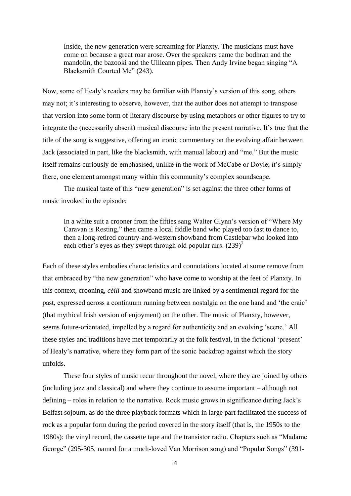Inside, the new generation were screaming for Planxty. The musicians must have come on because a great roar arose. Over the speakers came the bodhran and the mandolin, the bazooki and the Uilleann pipes. Then Andy Irvine began singing "A Blacksmith Courted Me" (243).

Now, some of Healy's readers may be familiar with Planxty's version of this song, others may not; it's interesting to observe, however, that the author does not attempt to transpose that version into some form of literary discourse by using metaphors or other figures to try to integrate the (necessarily absent) musical discourse into the present narrative. It's true that the title of the song is suggestive, offering an ironic commentary on the evolving affair between Jack (associated in part, like the blacksmith, with manual labour) and "me." But the music itself remains curiously de-emphasised, unlike in the work of McCabe or Doyle; it's simply there, one element amongst many within this community's complex soundscape.

The musical taste of this "new generation" is set against the three other forms of music invoked in the episode:

In a white suit a crooner from the fifties sang Walter Glynn's version of "Where My Caravan is Resting," then came a local fiddle band who played too fast to dance to, then a long-retired country-and-western showband from Castlebar who looked into each other's eyes as they swept through old popular airs.  $(239)^7$ 

Each of these styles embodies characteristics and connotations located at some remove from that embraced by "the new generation" who have come to worship at the feet of Planxty. In this context, crooning, *céilí* and showband music are linked by a sentimental regard for the past, expressed across a continuum running between nostalgia on the one hand and 'the craic' (that mythical Irish version of enjoyment) on the other. The music of Planxty, however, seems future-orientated, impelled by a regard for authenticity and an evolving 'scene.' All these styles and traditions have met temporarily at the folk festival, in the fictional 'present' of Healy's narrative, where they form part of the sonic backdrop against which the story unfolds.

These four styles of music recur throughout the novel, where they are joined by others (including jazz and classical) and where they continue to assume important – although not defining – roles in relation to the narrative. Rock music grows in significance during Jack's Belfast sojourn, as do the three playback formats which in large part facilitated the success of rock as a popular form during the period covered in the story itself (that is, the 1950s to the 1980s): the vinyl record, the cassette tape and the transistor radio. Chapters such as "Madame George" (295-305, named for a much-loved Van Morrison song) and "Popular Songs" (391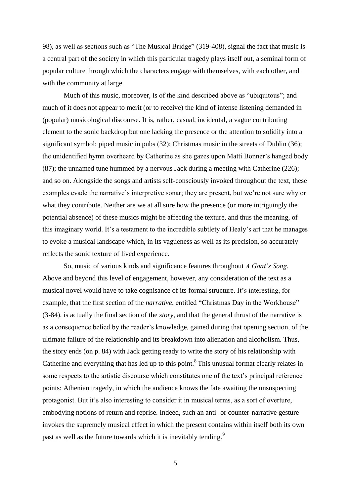98), as well as sections such as "The Musical Bridge" (319-408), signal the fact that music is a central part of the society in which this particular tragedy plays itself out, a seminal form of popular culture through which the characters engage with themselves, with each other, and with the community at large.

Much of this music, moreover, is of the kind described above as "ubiquitous"; and much of it does not appear to merit (or to receive) the kind of intense listening demanded in (popular) musicological discourse. It is, rather, casual, incidental, a vague contributing element to the sonic backdrop but one lacking the presence or the attention to solidify into a significant symbol: piped music in pubs (32); Christmas music in the streets of Dublin (36); the unidentified hymn overheard by Catherine as she gazes upon Matti Bonner's hanged body (87); the unnamed tune hummed by a nervous Jack during a meeting with Catherine (226); and so on. Alongside the songs and artists self-consciously invoked throughout the text, these examples evade the narrative's interpretive sonar; they are present, but we're not sure why or what they contribute. Neither are we at all sure how the presence (or more intriguingly the potential absence) of these musics might be affecting the texture, and thus the meaning, of this imaginary world. It's a testament to the incredible subtlety of Healy's art that he manages to evoke a musical landscape which, in its vagueness as well as its precision, so accurately reflects the sonic texture of lived experience.

So, music of various kinds and significance features throughout *A Goat's Song*. Above and beyond this level of engagement, however, any consideration of the text as a musical novel would have to take cognisance of its formal structure. It's interesting, for example, that the first section of the *narrative*, entitled "Christmas Day in the Workhouse" (3-84), is actually the final section of the *story*, and that the general thrust of the narrative is as a consequence belied by the reader's knowledge, gained during that opening section, of the ultimate failure of the relationship and its breakdown into alienation and alcoholism. Thus, the story ends (on p. 84) with Jack getting ready to write the story of his relationship with Catherine and everything that has led up to this point.<sup>8</sup> This unusual format clearly relates in some respects to the artistic discourse which constitutes one of the text's principal reference points: Athenian tragedy, in which the audience knows the fate awaiting the unsuspecting protagonist. But it's also interesting to consider it in musical terms, as a sort of overture, embodying notions of return and reprise. Indeed, such an anti- or counter-narrative gesture invokes the supremely musical effect in which the present contains within itself both its own past as well as the future towards which it is inevitably tending.<sup>9</sup>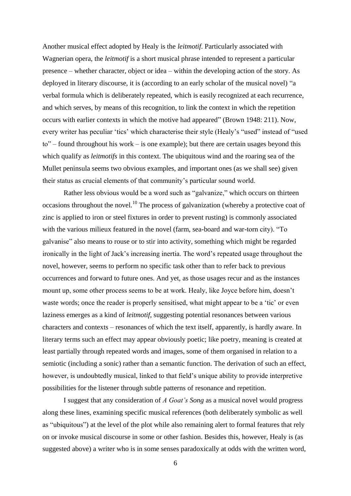Another musical effect adopted by Healy is the *leitmotif*. Particularly associated with Wagnerian opera, the *leitmotif* is a short musical phrase intended to represent a particular presence – whether character, object or idea – within the developing action of the story. As deployed in literary discourse, it is (according to an early scholar of the musical novel) "a verbal formula which is deliberately repeated, which is easily recognized at each recurrence, and which serves, by means of this recognition, to link the context in which the repetition occurs with earlier contexts in which the motive had appeared" (Brown 1948: 211). Now, every writer has peculiar 'tics' which characterise their style (Healy's "used" instead of "used to" – found throughout his work – is one example); but there are certain usages beyond this which qualify as *leitmotifs* in this context. The ubiquitous wind and the roaring sea of the Mullet peninsula seems two obvious examples, and important ones (as we shall see) given their status as crucial elements of that community's particular sound world.

Rather less obvious would be a word such as "galvanize," which occurs on thirteen occasions throughout the novel.<sup>10</sup> The process of galvanization (whereby a protective coat of zinc is applied to iron or steel fixtures in order to prevent rusting) is commonly associated with the various milieux featured in the novel (farm, sea-board and war-torn city). "To galvanise" also means to rouse or to stir into activity, something which might be regarded ironically in the light of Jack's increasing inertia. The word's repeated usage throughout the novel, however, seems to perform no specific task other than to refer back to previous occurrences and forward to future ones. And yet, as those usages recur and as the instances mount up, some other process seems to be at work. Healy, like Joyce before him, doesn't waste words; once the reader is properly sensitised, what might appear to be a 'tic' or even laziness emerges as a kind of *leitmotif*, suggesting potential resonances between various characters and contexts – resonances of which the text itself, apparently, is hardly aware. In literary terms such an effect may appear obviously poetic; like poetry, meaning is created at least partially through repeated words and images, some of them organised in relation to a semiotic (including a sonic) rather than a semantic function. The derivation of such an effect, however, is undoubtedly musical, linked to that field's unique ability to provide interpretive possibilities for the listener through subtle patterns of resonance and repetition.

I suggest that any consideration of *A Goat's Song* as a musical novel would progress along these lines, examining specific musical references (both deliberately symbolic as well as "ubiquitous") at the level of the plot while also remaining alert to formal features that rely on or invoke musical discourse in some or other fashion. Besides this, however, Healy is (as suggested above) a writer who is in some senses paradoxically at odds with the written word,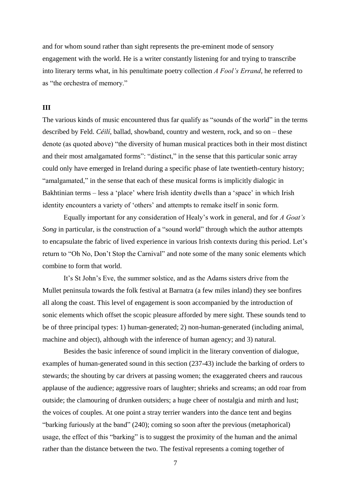and for whom sound rather than sight represents the pre-eminent mode of sensory engagement with the world. He is a writer constantly listening for and trying to transcribe into literary terms what, in his penultimate poetry collection *A Fool's Errand*, he referred to as "the orchestra of memory."

#### **III**

The various kinds of music encountered thus far qualify as "sounds of the world" in the terms described by Feld. *Céilí*, ballad, showband, country and western, rock, and so on – these denote (as quoted above) "the diversity of human musical practices both in their most distinct and their most amalgamated forms": "distinct," in the sense that this particular sonic array could only have emerged in Ireland during a specific phase of late twentieth-century history; "amalgamated," in the sense that each of these musical forms is implicitly dialogic in Bakhtinian terms – less a 'place' where Irish identity dwells than a 'space' in which Irish identity encounters a variety of 'others' and attempts to remake itself in sonic form.

Equally important for any consideration of Healy's work in general, and for *A Goat's Song* in particular, is the construction of a "sound world" through which the author attempts to encapsulate the fabric of lived experience in various Irish contexts during this period. Let's return to "Oh No, Don't Stop the Carnival" and note some of the many sonic elements which combine to form that world.

It's St John's Eve, the summer solstice, and as the Adams sisters drive from the Mullet peninsula towards the folk festival at Barnatra (a few miles inland) they see bonfires all along the coast. This level of engagement is soon accompanied by the introduction of sonic elements which offset the scopic pleasure afforded by mere sight. These sounds tend to be of three principal types: 1) human-generated; 2) non-human-generated (including animal, machine and object), although with the inference of human agency; and 3) natural.

Besides the basic inference of sound implicit in the literary convention of dialogue, examples of human-generated sound in this section (237-43) include the barking of orders to stewards; the shouting by car drivers at passing women; the exaggerated cheers and raucous applause of the audience; aggressive roars of laughter; shrieks and screams; an odd roar from outside; the clamouring of drunken outsiders; a huge cheer of nostalgia and mirth and lust; the voices of couples. At one point a stray terrier wanders into the dance tent and begins "barking furiously at the band" (240); coming so soon after the previous (metaphorical) usage, the effect of this "barking" is to suggest the proximity of the human and the animal rather than the distance between the two. The festival represents a coming together of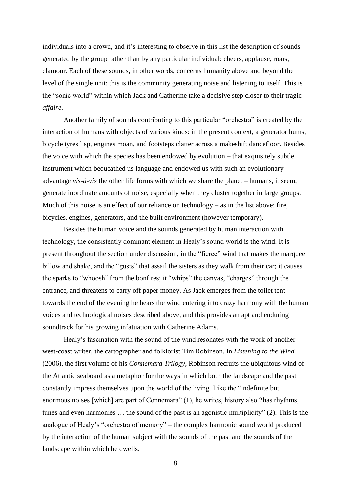individuals into a crowd, and it's interesting to observe in this list the description of sounds generated by the group rather than by any particular individual: cheers, applause, roars, clamour. Each of these sounds, in other words, concerns humanity above and beyond the level of the single unit; this is the community generating noise and listening to itself. This is the "sonic world" within which Jack and Catherine take a decisive step closer to their tragic *affaire*.

Another family of sounds contributing to this particular "orchestra" is created by the interaction of humans with objects of various kinds: in the present context, a generator hums, bicycle tyres lisp, engines moan, and footsteps clatter across a makeshift dancefloor. Besides the voice with which the species has been endowed by evolution – that exquisitely subtle instrument which bequeathed us language and endowed us with such an evolutionary advantage *vis-à-vis* the other life forms with which we share the planet – humans, it seem, generate inordinate amounts of noise, especially when they cluster together in large groups. Much of this noise is an effect of our reliance on technology – as in the list above: fire, bicycles, engines, generators, and the built environment (however temporary).

Besides the human voice and the sounds generated by human interaction with technology, the consistently dominant element in Healy's sound world is the wind. It is present throughout the section under discussion, in the "fierce" wind that makes the marquee billow and shake, and the "gusts" that assail the sisters as they walk from their car; it causes the sparks to "whoosh" from the bonfires; it "whips" the canvas, "charges" through the entrance, and threatens to carry off paper money. As Jack emerges from the toilet tent towards the end of the evening he hears the wind entering into crazy harmony with the human voices and technological noises described above, and this provides an apt and enduring soundtrack for his growing infatuation with Catherine Adams.

Healy's fascination with the sound of the wind resonates with the work of another west-coast writer, the cartographer and folklorist Tim Robinson. In *Listening to the Wind* (2006), the first volume of his *Connemara Trilogy*, Robinson recruits the ubiquitous wind of the Atlantic seaboard as a metaphor for the ways in which both the landscape and the past constantly impress themselves upon the world of the living. Like the "indefinite but enormous noises [which] are part of Connemara" (1), he writes, history also 2has rhythms, tunes and even harmonies … the sound of the past is an agonistic multiplicity" (2). This is the analogue of Healy's "orchestra of memory" – the complex harmonic sound world produced by the interaction of the human subject with the sounds of the past and the sounds of the landscape within which he dwells.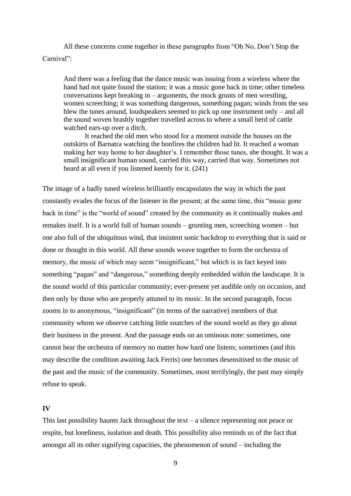All these concerns come together in these paragraphs from "Oh No, Don't Stop the Carnival":

And there was a feeling that the dance music was issuing from a wireless where the hand had not quite found the station; it was a music gone back in time; other timeless conversations kept breaking in – arguments, the mock grunts of men wrestling, women screeching; it was something dangerous, something pagan; winds from the sea blew the tunes around, loudspeakers seemed to pick up one instrument only – and all the sound woven brashly together travelled across to where a small herd of cattle watched ears-up over a ditch.

It reached the old men who stood for a moment outside the houses on the outskirts of Barnatra watching the bonfires the children had lit. It reached a woman making her way home to her daughter's. I remember those tunes, she thought. It was a small insignificant human sound, carried this way, carried that way. Sometimes not heard at all even if you listened keenly for it. (241)

The image of a badly tuned wireless brilliantly encapsulates the way in which the past constantly evades the focus of the listener in the present; at the same time, this "music gone back in time" is the "world of sound" created by the community as it continually makes and remakes itself. It is a world full of human sounds – grunting men, screeching women – but one also full of the ubiquitous wind, that insistent sonic backdrop to everything that is said or done or thought in this world. All these sounds weave together to form the orchestra of memory, the music of which may seem "insignificant," but which is in fact keyed into something "pagan" and "dangerous," something deeply embedded within the landscape. It is the sound world of this particular community; ever-present yet audible only on occasion, and then only by those who are properly attuned to its music. In the second paragraph, focus zooms in to anonymous, "insignificant" (in terms of the narrative) members of that community whom we observe catching little snatches of the sound world as they go about their business in the present. And the passage ends on an ominous note: sometimes, one cannot hear the orchestra of memory no matter how hard one listens; sometimes (and this may describe the condition awaiting Jack Ferris) one becomes desensitised to the music of the past and the music of the community. Sometimes, most terrifyingly, the past may simply refuse to speak.

## **IV**

This last possibility haunts Jack throughout the text – a silence representing not peace or respite, but loneliness, isolation and death. This possibility also reminds us of the fact that amongst all its other signifying capacities, the phenomenon of sound – including the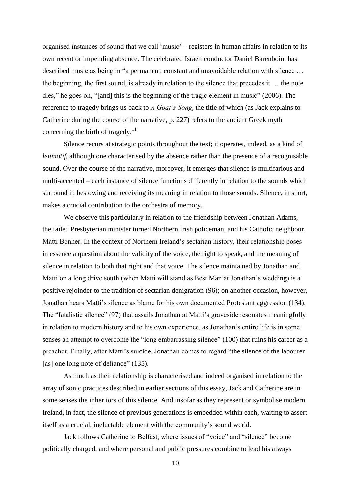organised instances of sound that we call 'music' – registers in human affairs in relation to its own recent or impending absence. The celebrated Israeli conductor Daniel Barenboim has described music as being in "a permanent, constant and unavoidable relation with silence … the beginning, the first sound, is already in relation to the silence that precedes it … the note dies," he goes on, "[and] this is the beginning of the tragic element in music" (2006). The reference to tragedy brings us back to *A Goat's Song*, the title of which (as Jack explains to Catherine during the course of the narrative, p. 227) refers to the ancient Greek myth concerning the birth of tragedy. $11$ 

Silence recurs at strategic points throughout the text; it operates, indeed, as a kind of *leitmotif*, although one characterised by the absence rather than the presence of a recognisable sound. Over the course of the narrative, moreover, it emerges that silence is multifarious and multi-accented – each instance of silence functions differently in relation to the sounds which surround it, bestowing and receiving its meaning in relation to those sounds. Silence, in short, makes a crucial contribution to the orchestra of memory.

We observe this particularly in relation to the friendship between Jonathan Adams, the failed Presbyterian minister turned Northern Irish policeman, and his Catholic neighbour, Matti Bonner. In the context of Northern Ireland's sectarian history, their relationship poses in essence a question about the validity of the voice, the right to speak, and the meaning of silence in relation to both that right and that voice. The silence maintained by Jonathan and Matti on a long drive south (when Matti will stand as Best Man at Jonathan's wedding) is a positive rejoinder to the tradition of sectarian denigration (96); on another occasion, however, Jonathan hears Matti's silence as blame for his own documented Protestant aggression (134). The "fatalistic silence" (97) that assails Jonathan at Matti's graveside resonates meaningfully in relation to modern history and to his own experience, as Jonathan's entire life is in some senses an attempt to overcome the "long embarrassing silence" (100) that ruins his career as a preacher. Finally, after Matti's suicide, Jonathan comes to regard "the silence of the labourer [as] one long note of defiance" (135).

As much as their relationship is characterised and indeed organised in relation to the array of sonic practices described in earlier sections of this essay, Jack and Catherine are in some senses the inheritors of this silence. And insofar as they represent or symbolise modern Ireland, in fact, the silence of previous generations is embedded within each, waiting to assert itself as a crucial, ineluctable element with the community's sound world.

Jack follows Catherine to Belfast, where issues of "voice" and "silence" become politically charged, and where personal and public pressures combine to lead his always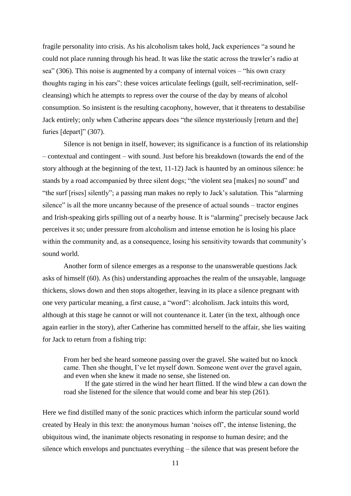fragile personality into crisis. As his alcoholism takes hold, Jack experiences "a sound he could not place running through his head. It was like the static across the trawler's radio at sea" (306). This noise is augmented by a company of internal voices – "his own crazy thoughts raging in his ears": these voices articulate feelings (guilt, self-recrimination, selfcleansing) which he attempts to repress over the course of the day by means of alcohol consumption. So insistent is the resulting cacophony, however, that it threatens to destabilise Jack entirely; only when Catherine appears does "the silence mysteriously [return and the] furies [depart]" (307).

Silence is not benign in itself, however; its significance is a function of its relationship – contextual and contingent – with sound. Just before his breakdown (towards the end of the story although at the beginning of the text, 11-12) Jack is haunted by an ominous silence: he stands by a road accompanied by three silent dogs; "the violent sea [makes] no sound" and "the surf [rises] silently"; a passing man makes no reply to Jack's salutation. This "alarming silence" is all the more uncanny because of the presence of actual sounds – tractor engines and Irish-speaking girls spilling out of a nearby house. It is "alarming" precisely because Jack perceives it so; under pressure from alcoholism and intense emotion he is losing his place within the community and, as a consequence, losing his sensitivity towards that community's sound world.

Another form of silence emerges as a response to the unanswerable questions Jack asks of himself (60). As (his) understanding approaches the realm of the unsayable, language thickens, slows down and then stops altogether, leaving in its place a silence pregnant with one very particular meaning, a first cause, a "word": alcoholism. Jack intuits this word, although at this stage he cannot or will not countenance it. Later (in the text, although once again earlier in the story), after Catherine has committed herself to the affair, she lies waiting for Jack to return from a fishing trip:

From her bed she heard someone passing over the gravel. She waited but no knock came. Then she thought, I've let myself down. Someone went over the gravel again, and even when she knew it made no sense, she listened on.

If the gate stirred in the wind her heart flitted. If the wind blew a can down the road she listened for the silence that would come and bear his step (261).

Here we find distilled many of the sonic practices which inform the particular sound world created by Healy in this text: the anonymous human 'noises off', the intense listening, the ubiquitous wind, the inanimate objects resonating in response to human desire; and the silence which envelops and punctuates everything – the silence that was present before the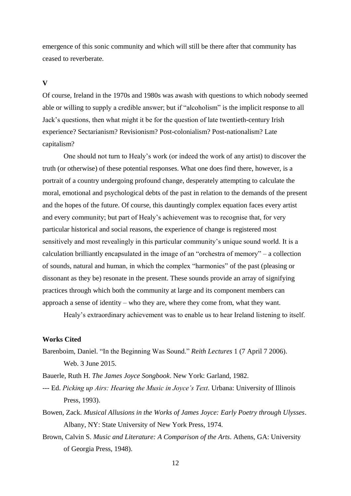emergence of this sonic community and which will still be there after that community has ceased to reverberate.

#### **V**

Of course, Ireland in the 1970s and 1980s was awash with questions to which nobody seemed able or willing to supply a credible answer; but if "alcoholism" is the implicit response to all Jack's questions, then what might it be for the question of late twentieth-century Irish experience? Sectarianism? Revisionism? Post-colonialism? Post-nationalism? Late capitalism?

One should not turn to Healy's work (or indeed the work of any artist) to discover the truth (or otherwise) of these potential responses. What one does find there, however, is a portrait of a country undergoing profound change, desperately attempting to calculate the moral, emotional and psychological debts of the past in relation to the demands of the present and the hopes of the future. Of course, this dauntingly complex equation faces every artist and every community; but part of Healy's achievement was to recognise that, for very particular historical and social reasons, the experience of change is registered most sensitively and most revealingly in this particular community's unique sound world. It is a calculation brilliantly encapsulated in the image of an "orchestra of memory" – a collection of sounds, natural and human, in which the complex "harmonies" of the past (pleasing or dissonant as they be) resonate in the present. These sounds provide an array of signifying practices through which both the community at large and its component members can approach a sense of identity – who they are, where they come from, what they want.

Healy's extraordinary achievement was to enable us to hear Ireland listening to itself.

# **Works Cited**

- Barenboim, Daniel. "In the Beginning Was Sound." *Reith Lectures* 1 (7 April 7 2006). Web. 3 June 2015.
- Bauerle, Ruth H. *The James Joyce Songbook*. New York: Garland, 1982.
- --- Ed. *Picking up Airs: Hearing the Music in Joyce's Text*. Urbana: University of Illinois Press, 1993).
- Bowen, Zack. *Musical Allusions in the Works of James Joyce: Early Poetry through Ulysses*. Albany, NY: State University of New York Press, 1974.
- Brown, Calvin S. *Music and Literature: A Comparison of the Arts*. Athens, GA: University of Georgia Press, 1948).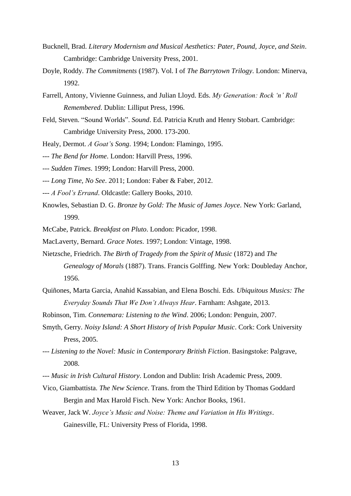- Bucknell, Brad. *Literary Modernism and Musical Aesthetics: Pater, Pound, Joyce, and Stein*. Cambridge: Cambridge University Press, 2001.
- Doyle, Roddy. *The Commitments* (1987). Vol. I of *The Barrytown Trilogy*. London: Minerva, 1992.
- Farrell, Antony, Vivienne Guinness, and Julian Lloyd. Eds. *My Generation: Rock 'n' Roll Remembered*. Dublin: Lilliput Press, 1996.
- Feld, Steven. "Sound Worlds". *Sound*. Ed. Patricia Kruth and Henry Stobart. Cambridge: Cambridge University Press, 2000. 173-200.
- Healy, Dermot. *A Goat's Song*. 1994; London: Flamingo, 1995.
- --- *The Bend for Home*. London: Harvill Press, 1996.
- --- *Sudden Times*. 1999; London: Harvill Press, 2000.
- --- *Long Time, No See*. 2011; London: Faber & Faber, 2012.
- --- *A Fool's Errand*. Oldcastle: Gallery Books, 2010.
- Knowles, Sebastian D. G. *Bronze by Gold: The Music of James Joyce*. New York: Garland, 1999.
- McCabe, Patrick. *Breakfast on Pluto*. London: Picador, 1998.
- MacLaverty, Bernard. *Grace Notes*. 1997; London: Vintage, 1998.
- Nietzsche, Friedrich. *The Birth of Tragedy from the Spirit of Music* (1872) and *The Genealogy of Morals* (1887). Trans. Francis Golffing. New York: Doubleday Anchor, 1956.
- Quiñones, Marta Garcia, Anahid Kassabian, and Elena Boschi. Eds. *Ubiquitous Musics: The Everyday Sounds That We Don't Always Hear*. Farnham: Ashgate, 2013.
- Robinson, Tim. *Connemara: Listening to the Wind*. 2006; London: Penguin, 2007.
- Smyth, Gerry. *Noisy Island: A Short History of Irish Popular Music*. Cork: Cork University Press, 2005.
- --- *Listening to the Novel: Music in Contemporary British Fiction*. Basingstoke: Palgrave, 2008.
- --- *Music in Irish Cultural History*. London and Dublin: Irish Academic Press, 2009.
- Vico, Giambattista. *The New Science*. Trans. from the Third Edition by Thomas Goddard Bergin and Max Harold Fisch. New York: Anchor Books, 1961.
- Weaver, Jack W. *Joyce's Music and Noise: Theme and Variation in His Writings*. Gainesville, FL: University Press of Florida, 1998.